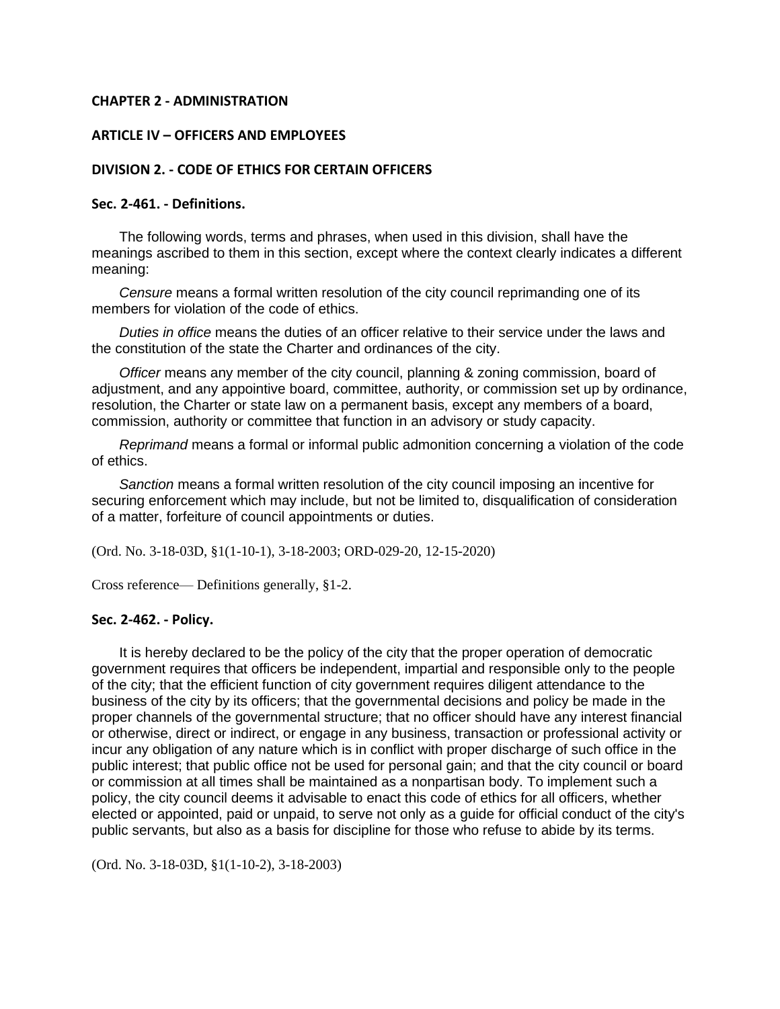### **CHAPTER 2 - ADMINISTRATION**

### **ARTICLE IV – OFFICERS AND EMPLOYEES**

### **DIVISION 2. - CODE OF ETHICS FOR CERTAIN OFFICERS**

## **Sec. 2-461. - Definitions.**

The following words, terms and phrases, when used in this division, shall have the meanings ascribed to them in this section, except where the context clearly indicates a different meaning:

*Censure* means a formal written resolution of the city council reprimanding one of its members for violation of the code of ethics.

*Duties in office* means the duties of an officer relative to their service under the laws and the constitution of the state the Charter and ordinances of the city.

*Officer* means any member of the city council, planning & zoning commission, board of adjustment, and any appointive board, committee, authority, or commission set up by ordinance, resolution, the Charter or state law on a permanent basis, except any members of a board, commission, authority or committee that function in an advisory or study capacity.

*Reprimand* means a formal or informal public admonition concerning a violation of the code of ethics.

*Sanction* means a formal written resolution of the city council imposing an incentive for securing enforcement which may include, but not be limited to, disqualification of consideration of a matter, forfeiture of council appointments or duties.

(Ord. No. 3-18-03D, §1(1-10-1), 3-18-2003; ORD-029-20, 12-15-2020)

Cross reference— Definitions generally, §1-2.

#### **Sec. 2-462. - Policy.**

It is hereby declared to be the policy of the city that the proper operation of democratic government requires that officers be independent, impartial and responsible only to the people of the city; that the efficient function of city government requires diligent attendance to the business of the city by its officers; that the governmental decisions and policy be made in the proper channels of the governmental structure; that no officer should have any interest financial or otherwise, direct or indirect, or engage in any business, transaction or professional activity or incur any obligation of any nature which is in conflict with proper discharge of such office in the public interest; that public office not be used for personal gain; and that the city council or board or commission at all times shall be maintained as a nonpartisan body. To implement such a policy, the city council deems it advisable to enact this code of ethics for all officers, whether elected or appointed, paid or unpaid, to serve not only as a guide for official conduct of the city's public servants, but also as a basis for discipline for those who refuse to abide by its terms.

(Ord. No. 3-18-03D, §1(1-10-2), 3-18-2003)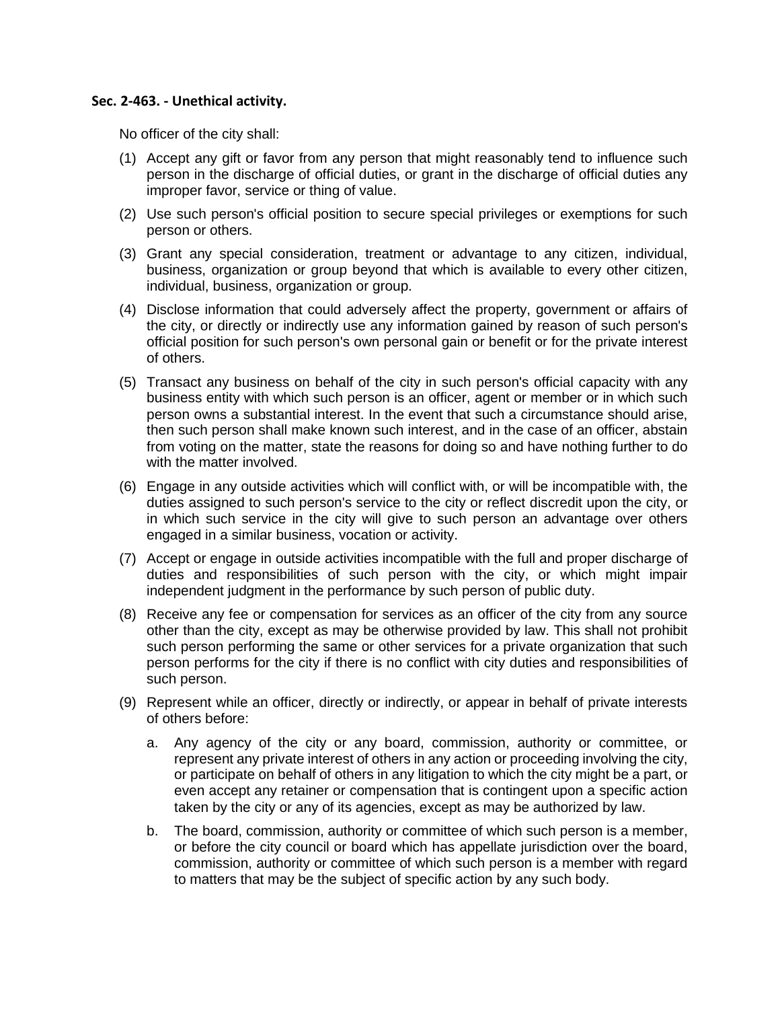# **Sec. 2-463. - Unethical activity.**

No officer of the city shall:

- (1) Accept any gift or favor from any person that might reasonably tend to influence such person in the discharge of official duties, or grant in the discharge of official duties any improper favor, service or thing of value.
- (2) Use such person's official position to secure special privileges or exemptions for such person or others.
- (3) Grant any special consideration, treatment or advantage to any citizen, individual, business, organization or group beyond that which is available to every other citizen, individual, business, organization or group.
- (4) Disclose information that could adversely affect the property, government or affairs of the city, or directly or indirectly use any information gained by reason of such person's official position for such person's own personal gain or benefit or for the private interest of others.
- (5) Transact any business on behalf of the city in such person's official capacity with any business entity with which such person is an officer, agent or member or in which such person owns a substantial interest. In the event that such a circumstance should arise, then such person shall make known such interest, and in the case of an officer, abstain from voting on the matter, state the reasons for doing so and have nothing further to do with the matter involved.
- (6) Engage in any outside activities which will conflict with, or will be incompatible with, the duties assigned to such person's service to the city or reflect discredit upon the city, or in which such service in the city will give to such person an advantage over others engaged in a similar business, vocation or activity.
- (7) Accept or engage in outside activities incompatible with the full and proper discharge of duties and responsibilities of such person with the city, or which might impair independent judgment in the performance by such person of public duty.
- (8) Receive any fee or compensation for services as an officer of the city from any source other than the city, except as may be otherwise provided by law. This shall not prohibit such person performing the same or other services for a private organization that such person performs for the city if there is no conflict with city duties and responsibilities of such person.
- (9) Represent while an officer, directly or indirectly, or appear in behalf of private interests of others before:
	- a. Any agency of the city or any board, commission, authority or committee, or represent any private interest of others in any action or proceeding involving the city, or participate on behalf of others in any litigation to which the city might be a part, or even accept any retainer or compensation that is contingent upon a specific action taken by the city or any of its agencies, except as may be authorized by law.
	- b. The board, commission, authority or committee of which such person is a member, or before the city council or board which has appellate jurisdiction over the board, commission, authority or committee of which such person is a member with regard to matters that may be the subject of specific action by any such body.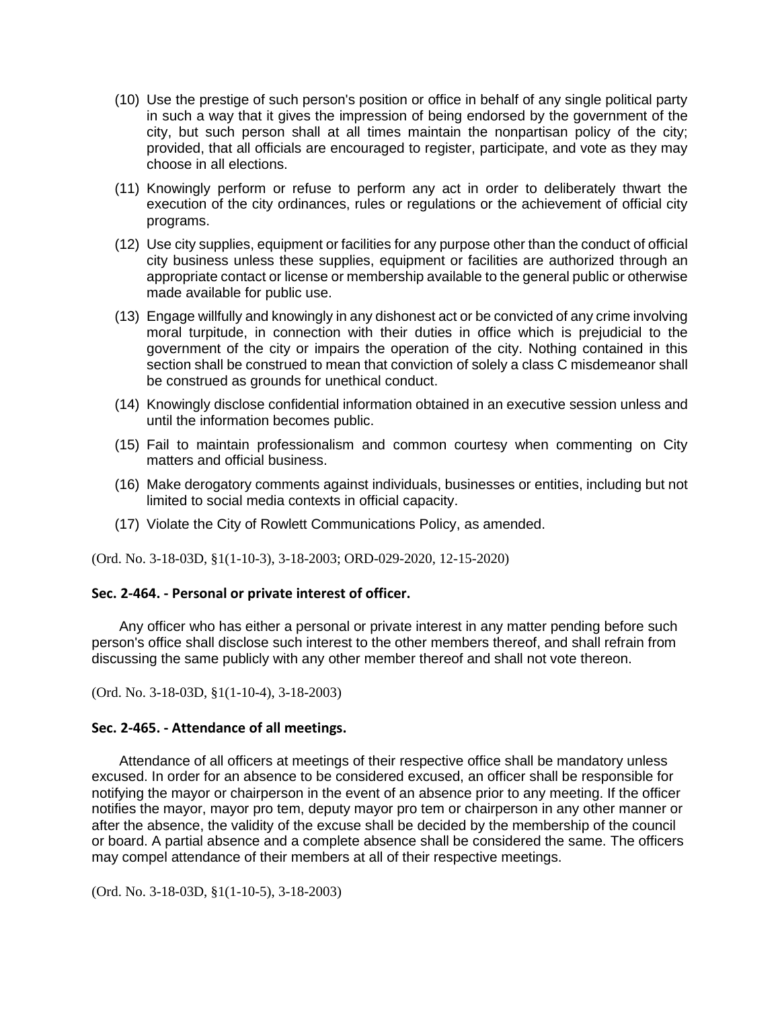- (10) Use the prestige of such person's position or office in behalf of any single political party in such a way that it gives the impression of being endorsed by the government of the city, but such person shall at all times maintain the nonpartisan policy of the city; provided, that all officials are encouraged to register, participate, and vote as they may choose in all elections.
- (11) Knowingly perform or refuse to perform any act in order to deliberately thwart the execution of the city ordinances, rules or regulations or the achievement of official city programs.
- (12) Use city supplies, equipment or facilities for any purpose other than the conduct of official city business unless these supplies, equipment or facilities are authorized through an appropriate contact or license or membership available to the general public or otherwise made available for public use.
- (13) Engage willfully and knowingly in any dishonest act or be convicted of any crime involving moral turpitude, in connection with their duties in office which is prejudicial to the government of the city or impairs the operation of the city. Nothing contained in this section shall be construed to mean that conviction of solely a class C misdemeanor shall be construed as grounds for unethical conduct.
- (14) Knowingly disclose confidential information obtained in an executive session unless and until the information becomes public.
- (15) Fail to maintain professionalism and common courtesy when commenting on City matters and official business.
- (16) Make derogatory comments against individuals, businesses or entities, including but not limited to social media contexts in official capacity.
- (17) Violate the City of Rowlett Communications Policy, as amended.

(Ord. No. 3-18-03D, §1(1-10-3), 3-18-2003; ORD-029-2020, 12-15-2020)

# **Sec. 2-464. - Personal or private interest of officer.**

Any officer who has either a personal or private interest in any matter pending before such person's office shall disclose such interest to the other members thereof, and shall refrain from discussing the same publicly with any other member thereof and shall not vote thereon.

(Ord. No. 3-18-03D, §1(1-10-4), 3-18-2003)

# **Sec. 2-465. - Attendance of all meetings.**

Attendance of all officers at meetings of their respective office shall be mandatory unless excused. In order for an absence to be considered excused, an officer shall be responsible for notifying the mayor or chairperson in the event of an absence prior to any meeting. If the officer notifies the mayor, mayor pro tem, deputy mayor pro tem or chairperson in any other manner or after the absence, the validity of the excuse shall be decided by the membership of the council or board. A partial absence and a complete absence shall be considered the same. The officers may compel attendance of their members at all of their respective meetings.

(Ord. No. 3-18-03D, §1(1-10-5), 3-18-2003)